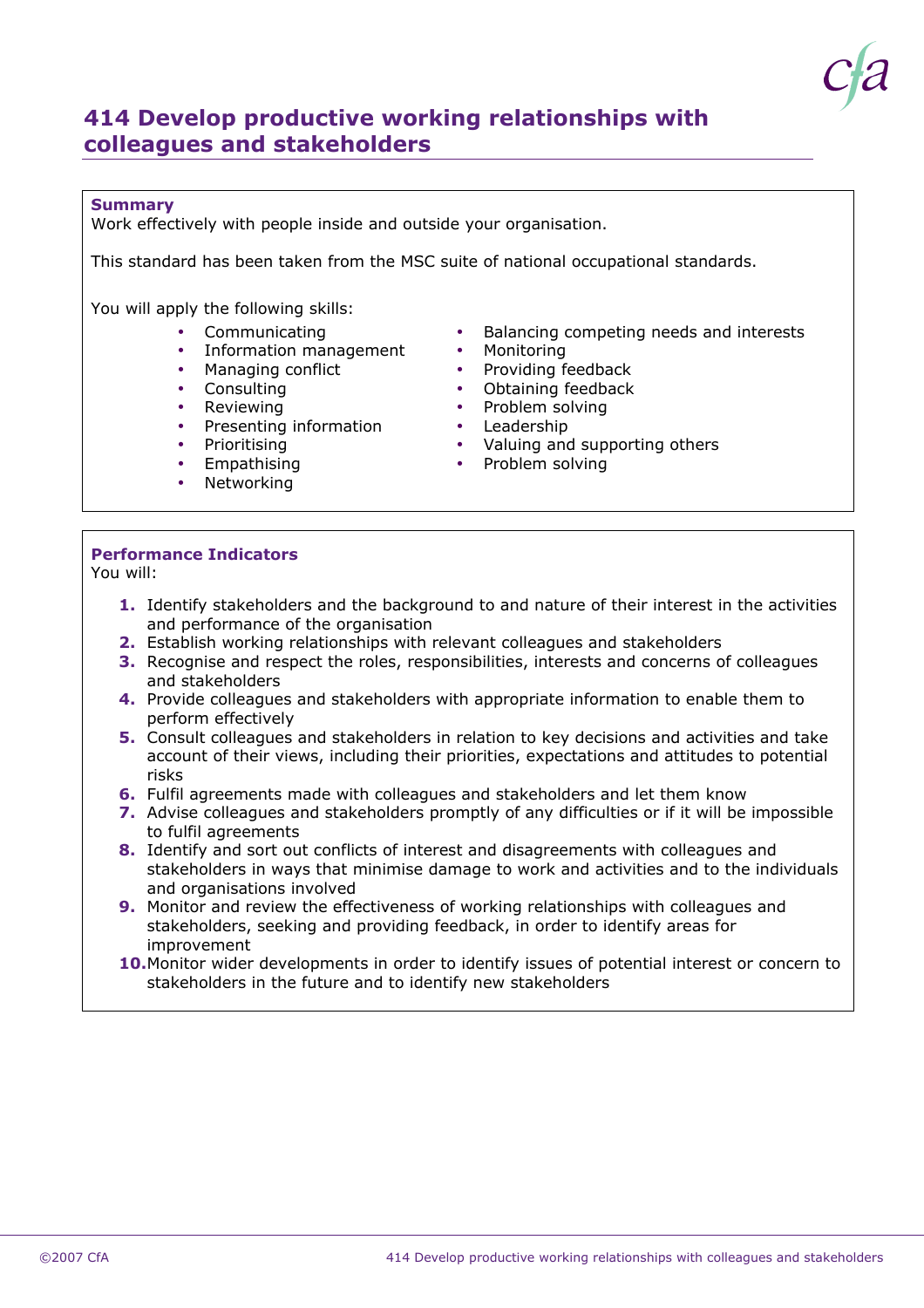

# **414 Develop productive working relationships with colleagues and stakeholders**

## **Summary**

Work effectively with people inside and outside your organisation.

This standard has been taken from the MSC suite of national occupational standards.

You will apply the following skills:

- Communicating
- Information management Monitoring
- Managing conflict
- Consulting
- 
- Presenting information Leadership Reviewing example and the Problem so<br>Presenting information by Leadership
- Prioritisina
- Empathising
- Networking •
- Balancing competing needs and interests<br>• Monitoring
- 
- $\bullet$  Providing feedback
- $\bullet$  Obtaining feedback
- Problem solving
- 
- Valuing and supporting others
- $\bullet$  Problem solving

## **Performance Indicators**

You will:

- **1.** Identify stakeholders and the background to and nature of their interest in the activities and performance of the organisation
- Establish working relationships with relevant colleagues and stakeholders **2.**
- **3.** Recognise and respect the roles, responsibilities, interests and concerns of colleagues and stakeholders
- **4.** Provide colleagues and stakeholders with appropriate information to enable them to perform effectively
- **5.** Consult colleagues and stakeholders in relation to key decisions and activities and take account of their views, including their priorities, expectations and attitudes to potential risks
- Fulfil agreements made with colleagues and stakeholders and let them know **6.**
- **7.** Advise colleagues and stakeholders promptly of any difficulties or if it will be impossible to fulfil agreements
- **8.** Identify and sort out conflicts of interest and disagreements with colleagues and stakeholders in ways that minimise damage to work and activities and to the individuals and organisations involved
- **9.** Monitor and review the effectiveness of working relationships with colleagues and stakeholders, seeking and providing feedback, in order to identify areas for improvement
- **10.** Monitor wider developments in order to identify issues of potential interest or concern to stakeholders in the future and to identify new stakeholders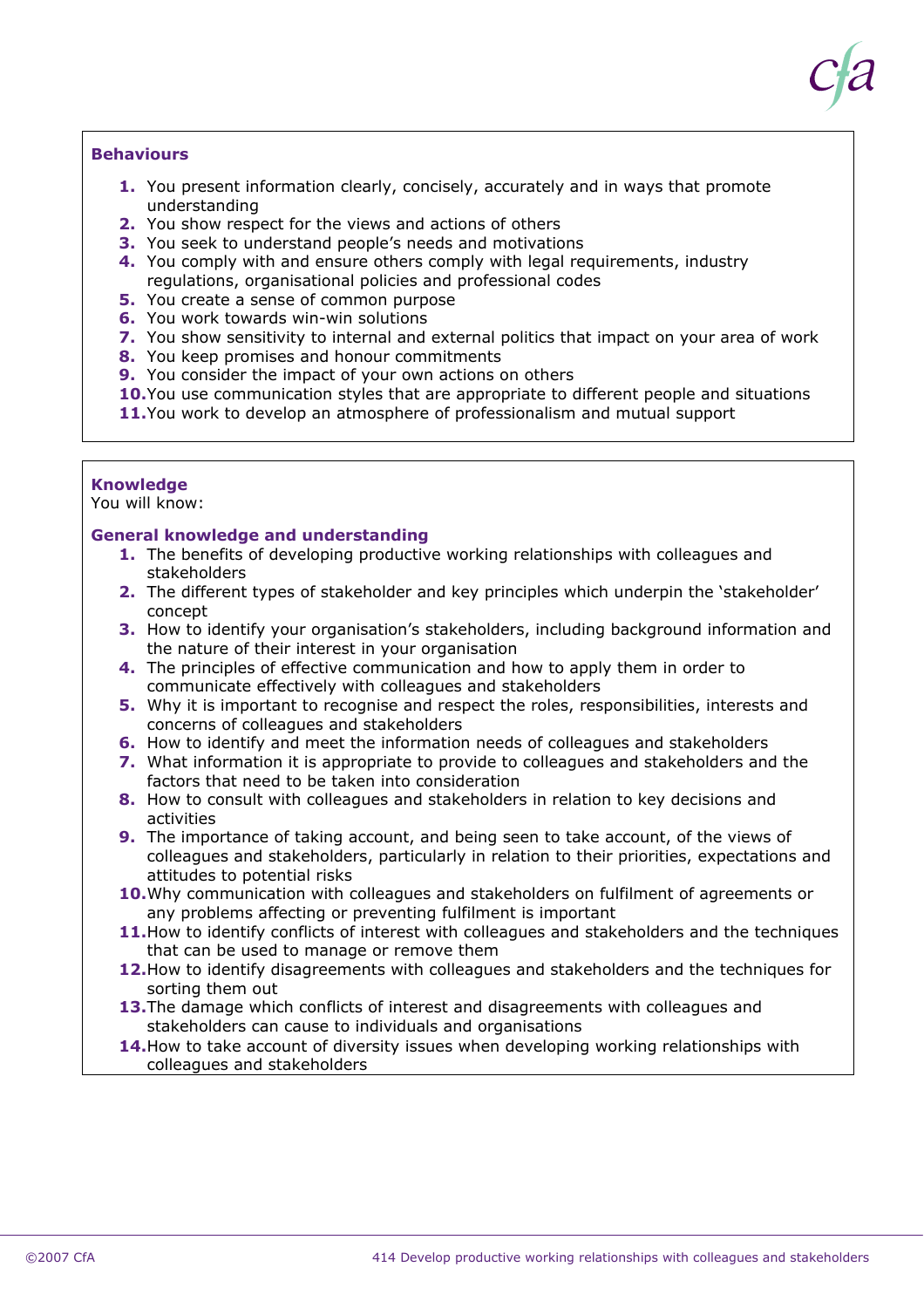

## **Behaviours**

- **1.** You present information clearly, concisely, accurately and in ways that promote understanding
- **2.** You show respect for the views and actions of others
- **3.** You seek to understand people's needs and motivations
- You comply with and ensure others comply with legal requirements, industry **4.** regulations, organisational policies and professional codes
- **5.** You create a sense of common purpose
- **6.** You work towards win-win solutions
- **7.** You show sensitivity to internal and external politics that impact on your area of work
- **8.** You keep promises and honour commitments
- **9.** You consider the impact of your own actions on others
- **10.** You use communication styles that are appropriate to different people and situations
- **11.** You work to develop an atmosphere of professionalism and mutual support

#### **Knowledge**

You will know:

#### **General knowledge and understanding**

- **1.** The benefits of developing productive working relationships with colleagues and stakeholders
- The different types of stakeholder and key principles which underpin the 'stakeholder' **2.** concept
- **3.** How to identify your organisation's stakeholders, including background information and the nature of their interest in your organisation
- The principles of effective communication and how to apply them in order to **4.** communicate effectively with colleagues and stakeholders
- Why it is important to recognise and respect the roles, responsibilities, interests and **5.** concerns of colleagues and stakeholders
- **6.** How to identify and meet the information needs of colleagues and stakeholders
- What information it is appropriate to provide to colleagues and stakeholders and the **7.** factors that need to be taken into consideration
- **8.** How to consult with colleagues and stakeholders in relation to key decisions and activities
- The importance of taking account, and being seen to take account, of the views of **9.** colleagues and stakeholders, particularly in relation to their priorities, expectations and attitudes to potential risks
- **10.** Why communication with colleagues and stakeholders on fulfilment of agreements or any problems affecting or preventing fulfilment is important
- **11.** How to identify conflicts of interest with colleagues and stakeholders and the techniques that can be used to manage or remove them
- **12.** How to identify disagreements with colleagues and stakeholders and the techniques for sorting them out
- **13.** The damage which conflicts of interest and disagreements with colleagues and stakeholders can cause to individuals and organisations
- **14.** How to take account of diversity issues when developing working relationships with colleagues and stakeholders